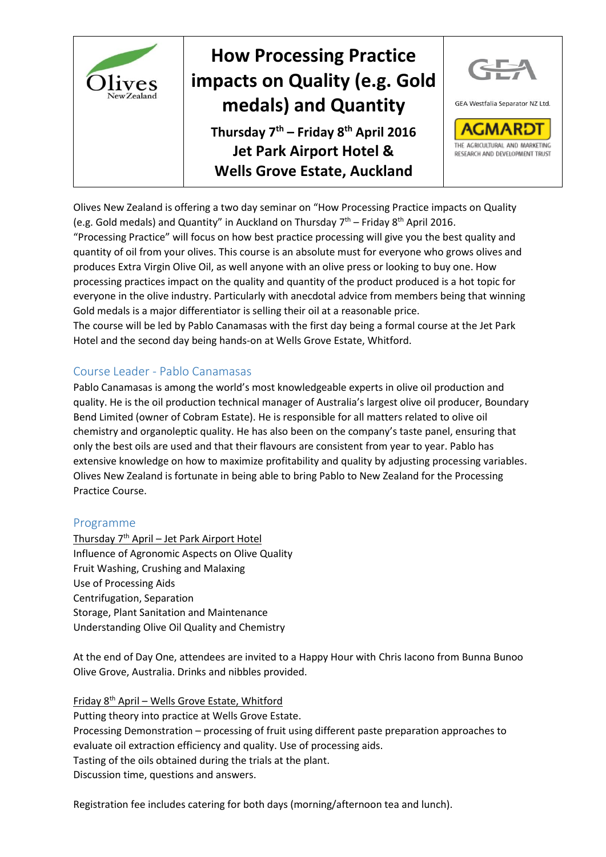

Olives New Zealand is offering a two day seminar on "How Processing Practice impacts on Quality (e.g. Gold medals) and Quantity" in Auckland on Thursday  $7<sup>th</sup>$  – Friday 8<sup>th</sup> April 2016.

"Processing Practice" will focus on how best practice processing will give you the best quality and quantity of oil from your olives. This course is an absolute must for everyone who grows olives and produces Extra Virgin Olive Oil, as well anyone with an olive press or looking to buy one. How processing practices impact on the quality and quantity of the product produced is a hot topic for everyone in the olive industry. Particularly with anecdotal advice from members being that winning Gold medals is a major differentiator is selling their oil at a reasonable price.

The course will be led by Pablo Canamasas with the first day being a formal course at the Jet Park Hotel and the second day being hands-on at Wells Grove Estate, Whitford.

### Course Leader - Pablo Canamasas

Pablo Canamasas is among the world's most knowledgeable experts in olive oil production and quality. He is the oil production technical manager of Australia's largest olive oil producer, Boundary Bend Limited (owner of Cobram Estate). He is responsible for all matters related to olive oil chemistry and organoleptic quality. He has also been on the company's taste panel, ensuring that only the best oils are used and that their flavours are consistent from year to year. Pablo has extensive knowledge on how to maximize profitability and quality by adjusting processing variables. Olives New Zealand is fortunate in being able to bring Pablo to New Zealand for the Processing Practice Course.

### Programme

Thursday 7th April – Jet Park Airport Hotel Influence of Agronomic Aspects on Olive Quality Fruit Washing, Crushing and Malaxing Use of Processing Aids Centrifugation, Separation Storage, Plant Sanitation and Maintenance Understanding Olive Oil Quality and Chemistry

At the end of Day One, attendees are invited to a Happy Hour with Chris Iacono from Bunna Bunoo Olive Grove, Australia. Drinks and nibbles provided.

Friday 8th April – Wells Grove Estate, Whitford Putting theory into practice at Wells Grove Estate. Processing Demonstration – processing of fruit using different paste preparation approaches to evaluate oil extraction efficiency and quality. Use of processing aids. Tasting of the oils obtained during the trials at the plant. Discussion time, questions and answers.

Registration fee includes catering for both days (morning/afternoon tea and lunch).